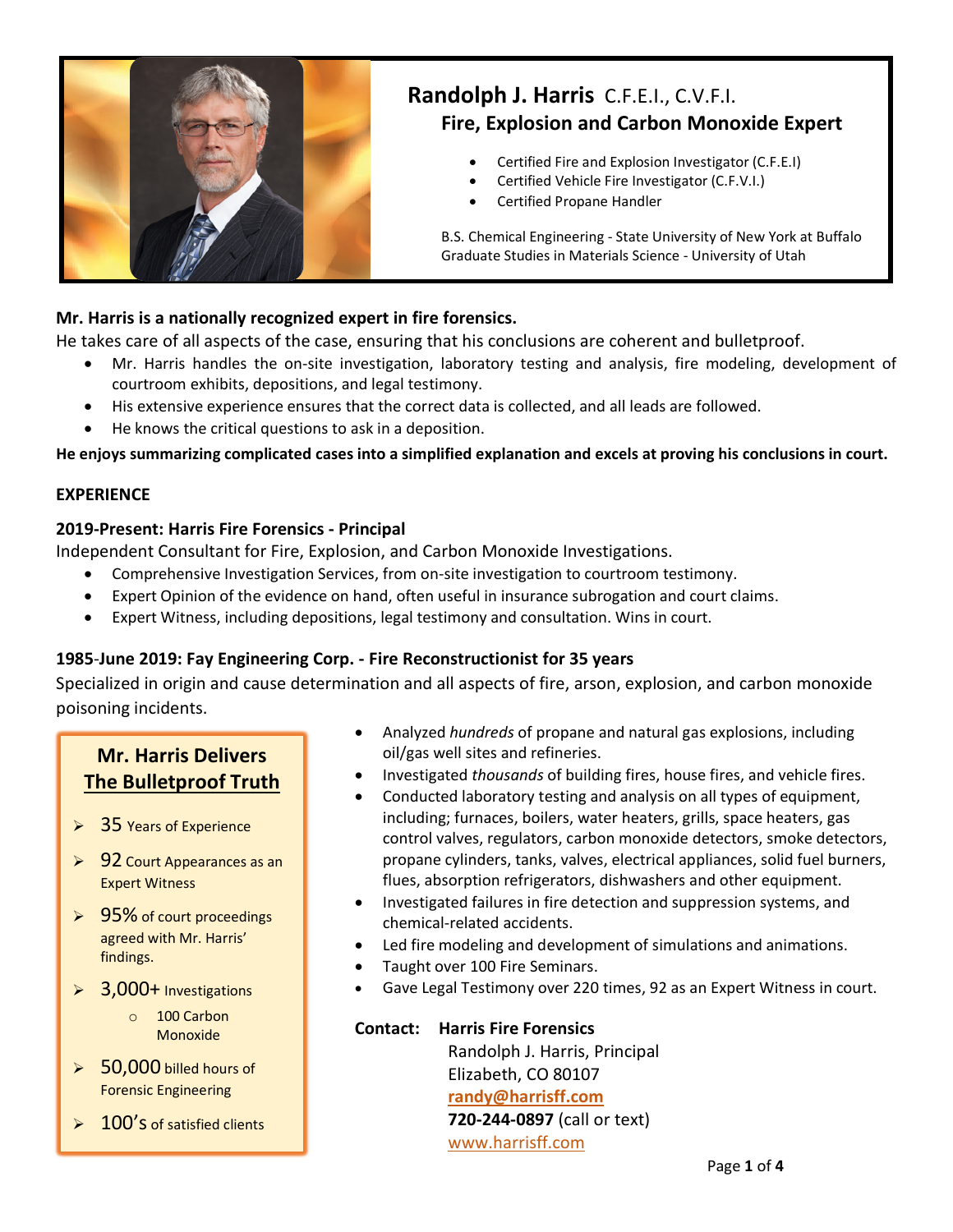

# **Randolph J. Harris** C.F.E.I., C.V.F.I. **Fire, Explosion and Carbon Monoxide Expert**

- Certified Fire and Explosion Investigator (C.F.E.I)
- Certified Vehicle Fire Investigator (C.F.V.I.)
- Certified Propane Handler

B.S. Chemical Engineering - State University of New York at Buffalo Graduate Studies in Materials Science - University of Utah

# **Mr. Harris is a nationally recognized expert in fire forensics.**

He takes care of all aspects of the case, ensuring that his conclusions are coherent and bulletproof.

- Mr. Harris handles the on-site investigation, laboratory testing and analysis, fire modeling, development of courtroom exhibits, depositions, and legal testimony.
- His extensive experience ensures that the correct data is collected, and all leads are followed.
- He knows the critical questions to ask in a deposition.

**He enjoys summarizing complicated cases into a simplified explanation and excels at proving his conclusions in court.**

## **EXPERIENCE**

## **2019-Present: Harris Fire Forensics - Principal**

Independent Consultant for Fire, Explosion, and Carbon Monoxide Investigations.

- Comprehensive Investigation Services, from on-site investigation to courtroom testimony.
- Expert Opinion of the evidence on hand, often useful in insurance subrogation and court claims.
- Expert Witness, including depositions, legal testimony and consultation. Wins in court.

# **1985**-**June 2019: Fay Engineering Corp. - Fire Reconstructionist for 35 years**

Specialized in origin and cause determination and all aspects of fire, arson, explosion, and carbon monoxide poisoning incidents.

# **Mr. Harris Delivers The Bulletproof Truth**

- $\geqslant$  35 Years of Experience
- $\geq 92$  Court Appearances as an Expert Witness
- $\geq 95\%$  of court proceedings agreed with Mr. Harris' findings.
- $\triangleright$  3,000+ Investigations
	- $\circ$  100 Carbon Monoxide
- $\geqslant$  50,000 billed hours of Forensic Engineering
- 100's of satisfied clients
- Analyzed *hundreds* of propane and natural gas explosions, including oil/gas well sites and refineries.
- Investigated *thousands* of building fires, house fires, and vehicle fires.
- Conducted laboratory testing and analysis on all types of equipment, including; furnaces, boilers, water heaters, grills, space heaters, gas control valves, regulators, carbon monoxide detectors, smoke detectors, propane cylinders, tanks, valves, electrical appliances, solid fuel burners, flues, absorption refrigerators, dishwashers and other equipment.
- Investigated failures in fire detection and suppression systems, and chemical-related accidents.
- Led fire modeling and development of simulations and animations.
- Taught over 100 Fire Seminars.
- Gave Legal Testimony over 220 times, 92 as an Expert Witness in court.

| <b>Contact: Harris Fire Forensics</b> |
|---------------------------------------|
| Randolph J. Harris, Principal         |
| Elizabeth, CO 80107                   |
| randy@harrisff.com                    |
| 720-244-0897 (call or text)           |
| www.harrisff.com                      |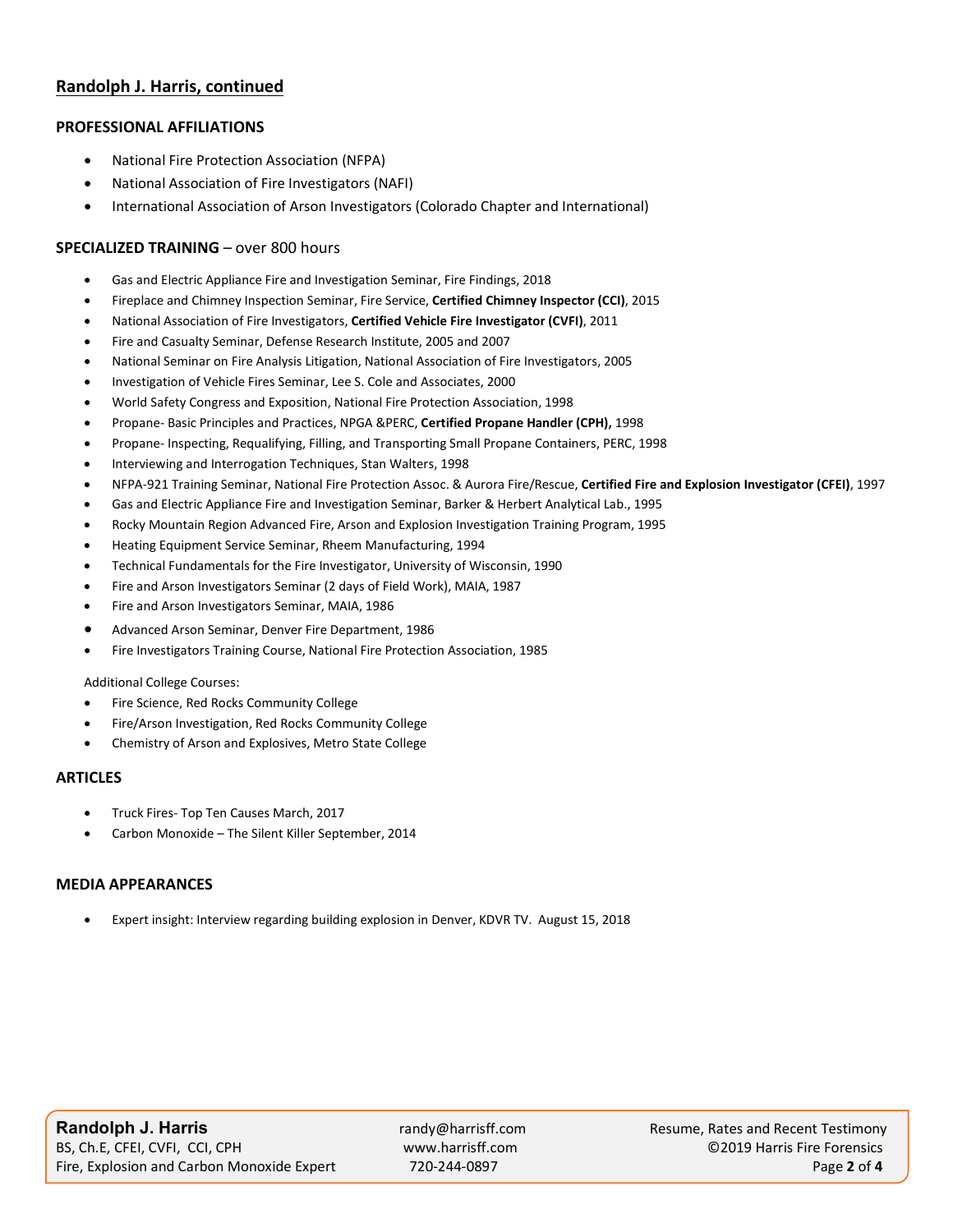## **Randolph J. Harris, continued**

#### **PROFESSIONAL AFFILIATIONS**

- National Fire Protection Association (NFPA)
- National Association of Fire Investigators (NAFI)
- International Association of Arson Investigators (Colorado Chapter and International)

#### **SPECIALIZED TRAINING** – over 800 hours

- Gas and Electric Appliance Fire and Investigation Seminar, Fire Findings, 2018
- Fireplace and Chimney Inspection Seminar, Fire Service, **Certified Chimney Inspector (CCI)**, 2015
- National Association of Fire Investigators, **Certified Vehicle Fire Investigator (CVFI)**, 2011
- Fire and Casualty Seminar, Defense Research Institute, 2005 and 2007
- National Seminar on Fire Analysis Litigation, National Association of Fire Investigators, 2005
- Investigation of Vehicle Fires Seminar, Lee S. Cole and Associates, 2000
- World Safety Congress and Exposition, National Fire Protection Association, 1998
- Propane- Basic Principles and Practices, NPGA &PERC, **Certified Propane Handler (CPH),** 1998
- Propane- Inspecting, Requalifying, Filling, and Transporting Small Propane Containers, PERC, 1998
- Interviewing and Interrogation Techniques, Stan Walters, 1998
- NFPA-921 Training Seminar, National Fire Protection Assoc. & Aurora Fire/Rescue, **Certified Fire and Explosion Investigator (CFEI)**, 1997
- Gas and Electric Appliance Fire and Investigation Seminar, Barker & Herbert Analytical Lab., 1995
- Rocky Mountain Region Advanced Fire, Arson and Explosion Investigation Training Program, 1995
- Heating Equipment Service Seminar, Rheem Manufacturing, 1994
- Technical Fundamentals for the Fire Investigator, University of Wisconsin, 1990
- Fire and Arson Investigators Seminar (2 days of Field Work), MAIA, 1987
- Fire and Arson Investigators Seminar, MAIA, 1986
- Advanced Arson Seminar, Denver Fire Department, 1986
- Fire Investigators Training Course, National Fire Protection Association, 1985

#### Additional College Courses:

- Fire Science, Red Rocks Community College
- Fire/Arson Investigation, Red Rocks Community College
- Chemistry of Arson and Explosives, Metro State College

#### **ARTICLES**

- Truck Fires- Top Ten Causes March, 2017
- Carbon Monoxide The Silent Killer September, 2014

#### **MEDIA APPEARANCES**

• Expert insight: Interview regarding building explosion in Denver, KDVR TV. August 15, 2018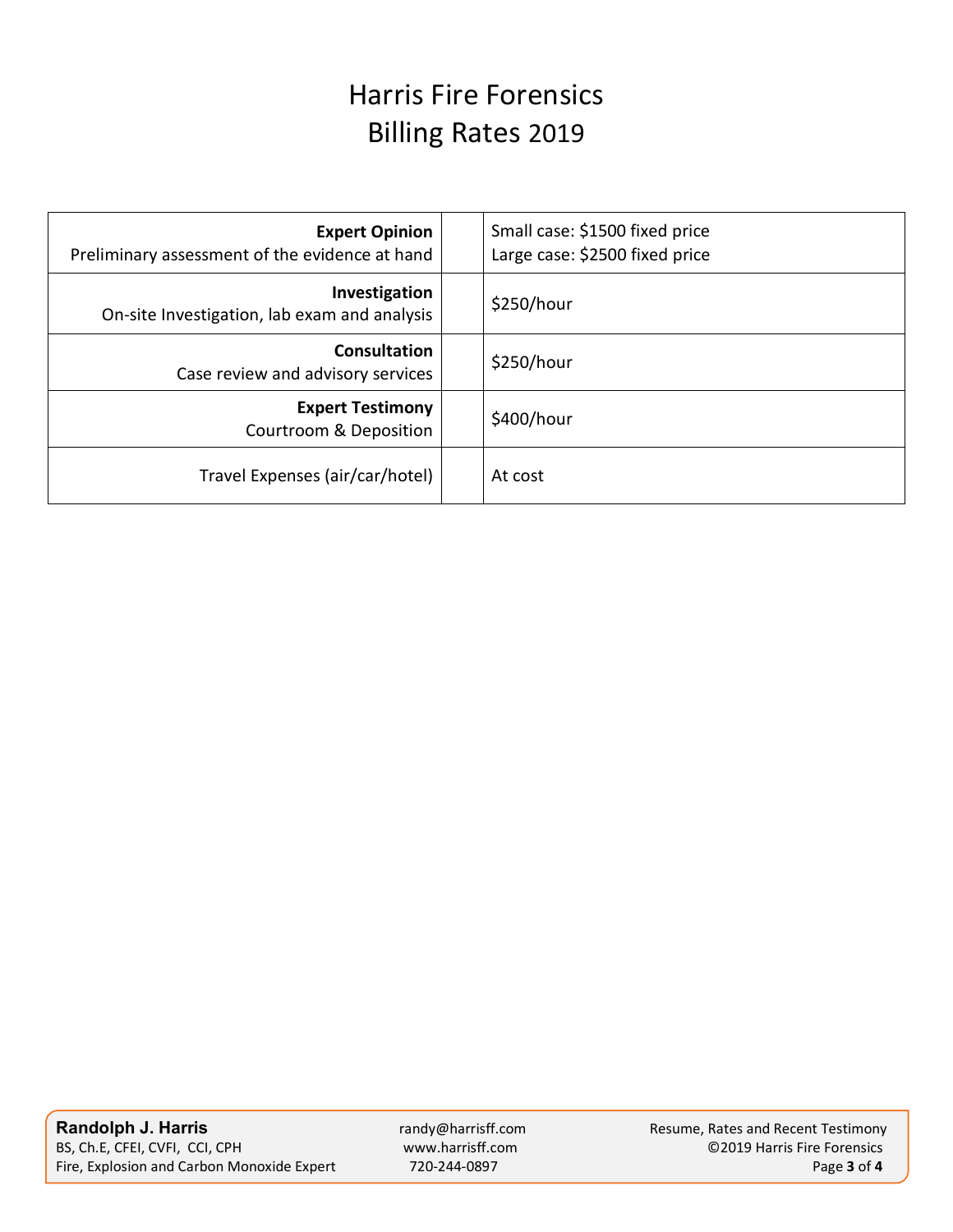# Harris Fire Forensics Billing Rates 2019

| <b>Expert Opinion</b><br>Preliminary assessment of the evidence at hand |  | Small case: \$1500 fixed price<br>Large case: \$2500 fixed price |
|-------------------------------------------------------------------------|--|------------------------------------------------------------------|
| Investigation<br>On-site Investigation, lab exam and analysis           |  | \$250/hour                                                       |
| Consultation<br>Case review and advisory services                       |  | \$250/hour                                                       |
| <b>Expert Testimony</b><br><b>Courtroom &amp; Deposition</b>            |  | \$400/hour                                                       |
| Travel Expenses (air/car/hotel)                                         |  | At cost                                                          |